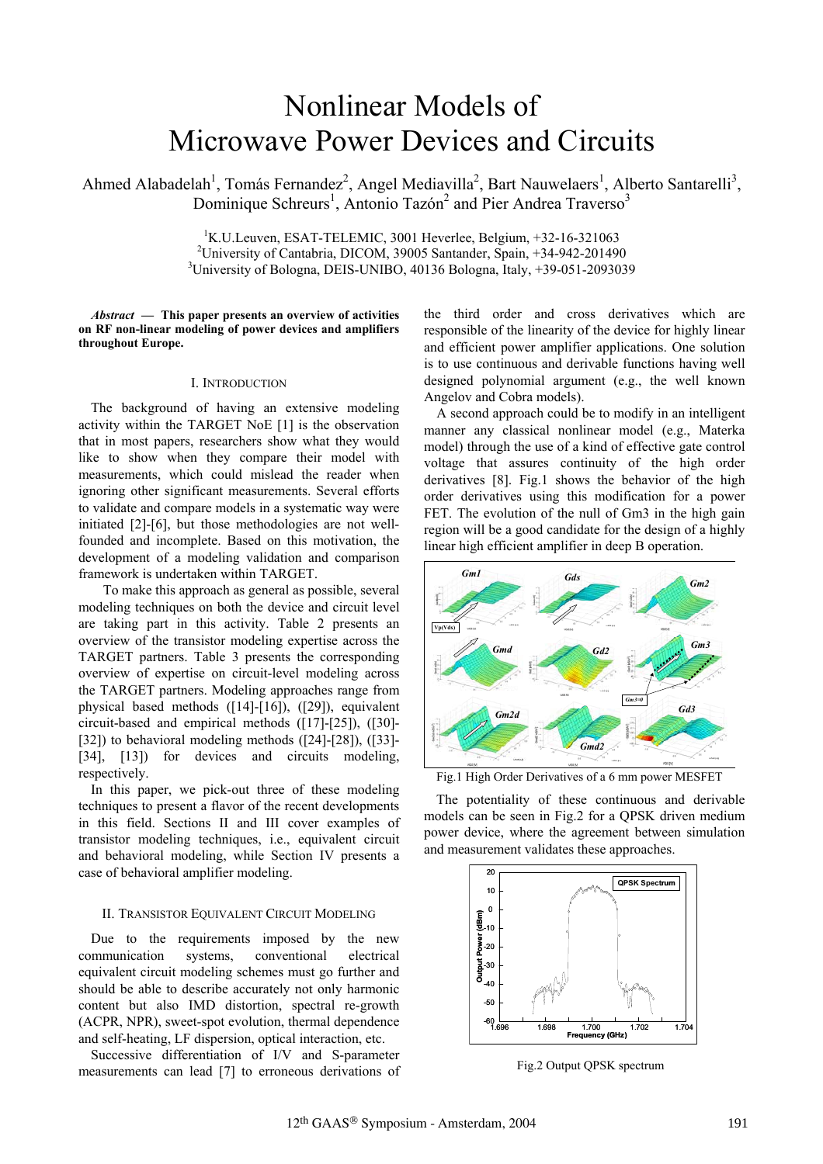# Nonlinear Models of Microwave Power Devices and Circuits

Ahmed Alabadelah<sup>1</sup>, Tomás Fernandez<sup>2</sup>, Angel Mediavilla<sup>2</sup>, Bart Nauwelaers<sup>1</sup>, Alberto Santarelli<sup>3</sup>, Dominique Schreurs<sup>1</sup>, Antonio Tazón<sup>2</sup> and Pier Andrea Traverso<sup>3</sup>

> <sup>1</sup>K.U.Leuven, ESAT-TELEMIC, 3001 Heverlee, Belgium, +32-16-321063<br><sup>2</sup>University of Cantabria, DICOM, 20005 September, Spain, 124, 942, 201400 <sup>2</sup>University of Cantabria, DICOM, 39005 Santander, Spain, +34-942-201490 <sup>3</sup>University of Bologna, DEIS-UNIBO, 40136 Bologna, Italy, +39-051-2093039

*Abstract* **— This paper presents an overview of activities on RF non-linear modeling of power devices and amplifiers throughout Europe.**

## I. INTRODUCTION

The background of having an extensive modeling activity within the TARGET NoE [1] is the observation that in most papers, researchers show what they would like to show when they compare their model with measurements, which could mislead the reader when ignoring other significant measurements. Several efforts to validate and compare models in a systematic way were initiated [2]-[6], but those methodologies are not wellfounded and incomplete. Based on this motivation, the development of a modeling validation and comparison framework is undertaken within TARGET.

To make this approach as general as possible, several modeling techniques on both the device and circuit level are taking part in this activity. Table 2 presents an overview of the transistor modeling expertise across the TARGET partners. Table 3 presents the corresponding overview of expertise on circuit-level modeling across the TARGET partners. Modeling approaches range from physical based methods ([14]-[16]), ([29]), equivalent circuit-based and empirical methods ([17]-[25]), ([30]- [32]) to behavioral modeling methods ([24]-[28]), ([33]-[34], [13]) for devices and circuits modeling, respectively.

In this paper, we pick-out three of these modeling techniques to present a flavor of the recent developments in this field. Sections II and III cover examples of transistor modeling techniques, i.e., equivalent circuit and behavioral modeling, while Section IV presents a case of behavioral amplifier modeling.

## II. TRANSISTOR EQUIVALENT CIRCUIT MODELING

Due to the requirements imposed by the new communication systems, conventional electrical equivalent circuit modeling schemes must go further and should be able to describe accurately not only harmonic content but also IMD distortion, spectral re-growth (ACPR, NPR), sweet-spot evolution, thermal dependence and self-heating, LF dispersion, optical interaction, etc.

Successive differentiation of I/V and S-parameter measurements can lead [7] to erroneous derivations of

the third order and cross derivatives which are responsible of the linearity of the device for highly linear and efficient power amplifier applications. One solution is to use continuous and derivable functions having well designed polynomial argument (e.g., the well known Angelov and Cobra models).

A second approach could be to modify in an intelligent manner any classical nonlinear model (e.g., Materka model) through the use of a kind of effective gate control voltage that assures continuity of the high order derivatives [8]. Fig.1 shows the behavior of the high order derivatives using this modification for a power FET. The evolution of the null of Gm3 in the high gain region will be a good candidate for the design of a highly linear high efficient amplifier in deep B operation.



Fig.1 High Order Derivatives of a 6 mm power MESFET

The potentiality of these continuous and derivable models can be seen in Fig.2 for a QPSK driven medium power device, where the agreement between simulation and measurement validates these approaches.



Fig.2 Output QPSK spectrum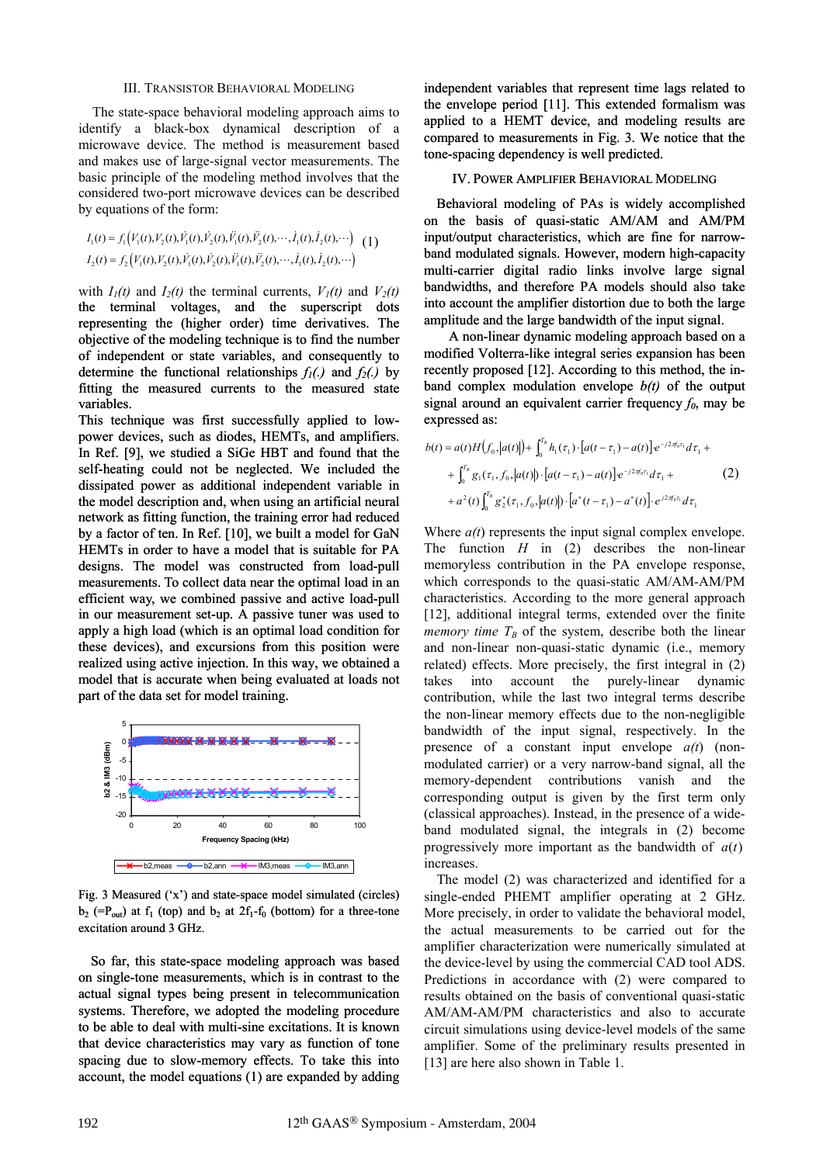### III. TRANSISTOR BEHAVIORAL MODELING

The state-space behavioral modeling approach aims to identify a black-box dynamical description of a microwave device. The method is measurement based and makes use of large-signal vector measurements. The basic principle of the modeling method involves that the considered two-port microwave devices can be described by equations of the form:

$$
I_1(t) = f_1\Big(V_1(t), V_2(t), \dot{V}_1(t), \dot{V}_2(t), \ddot{V}_1(t), \ddot{V}_2(t), \cdots, \dot{I}_1(t), \dot{I}_2(t), \cdots\Big) \quad (1)
$$
  

$$
I_2(t) = f_2\Big(V_1(t), V_2(t), \dot{V}_1(t), \dot{V}_2(t), \ddot{V}_1(t), \ddot{V}_2(t), \cdots, \dot{I}_1(t), \dot{I}_2(t), \cdots\Big)
$$

with  $I_1(t)$  and  $I_2(t)$  the terminal currents,  $V_1(t)$  and  $V_2(t)$ the terminal voltages, and the superscript dots representing the (higher order) time derivatives. The objective of the modeling technique is to find the number of independent or state variables, and consequently to determine the functional relationships  $f_1(.)$  and  $f_2(.)$  by fitting the measured currents to the measured state variables.

This technique was first successfully applied to lowpower devices, such as diodes, HEMTs, and amplifiers. In Ref. [9], we studied a SiGe HBT and found that the self-heating could not be neglected. We included the dissipated power as additional independent variable in the model description and, when using an artificial neural network as fitting function, the training error had reduced by a factor of ten. In Ref. [10], we built a model for GaN HEMTs in order to have a model that is suitable for PA designs. The model was constructed from load-pull measurements. To collect data near the optimal load in an efficient way, we combined passive and active load-pull in our measurement set-up. A passive tuner was used to apply a high load (which is an optimal load condition for these devices), and excursions from this position were realized using active injection. In this way, we obtained a model that is accurate when being evaluated at loads not part of the data set for model training.



Fig. 3 Measured ('x') and state-space model simulated (circles)  $b_2$  (=P<sub>out</sub>) at f<sub>1</sub> (top) and  $b_2$  at 2f<sub>1</sub>-f<sub>0</sub> (bottom) for a three-tone excitation around 3 GHz.

So far, this state-space modeling approach was based on single-tone measurements, which is in contrast to the actual signal types being present in telecommunication systems. Therefore, we adopted the modeling procedure to be able to deal with multi-sine excitations. It is known that device characteristics may vary as function of tone spacing due to slow-memory effects. To take this into account, the model equations (1) are expanded by adding independent variables that represent time lags related to the envelope period [11]. This extended formalism was applied to a HEMT device, and modeling results are compared to measurements in Fig. 3. We notice that the tone-spacing dependency is well predicted.

# IV. POWER AMPLIFIER BEHAVIORAL MODELING

Behavioral modeling of PAs is widely accomplished on the basis of quasi-static AM/AM and AM/PM input/output characteristics, which are fine for narrowband modulated signals. However, modern high-capacity band modulated signals. However, modern high-capacity<br>multi-carrier digital radio links involve large signal bandwidths, and therefore PA models should also take into account the amplifier distortion due to both the large amplitude and the large bandwidth of the input signal.

A non-linear dynamic modeling approach based on a modified Volterra-like integral series expansion has been recently proposed [12]. According to this method, the inband complex modulation envelope *b(t)* of the output signal around an equivalent carrier frequency  $f_0$ , may be expressed as:

$$
b(t) = a(t)H(f_0,|a(t)|) + \int_0^{T_B} h_1(\tau_1) \cdot [a(t-\tau_1) - a(t)] e^{-j2\pi f_0 \tau_1} d\tau_1 +
$$
  
+ 
$$
\int_0^{T_B} g_1(\tau_1, f_0,|a(t)|) \cdot [a(t-\tau_1) - a(t)] e^{-j2\pi f_0 \tau_1} d\tau_1 +
$$
  
+ 
$$
a^2(t) \int_0^{T_B} g_2^*(\tau_1, f_0,|a(t)|) \cdot [a^*(t-\tau_1) - a^*(t)] \cdot e^{j2\pi f_0 \tau_1} d\tau_1
$$
 (2)

Where  $a(t)$  represents the input signal complex envelope. The function *H* in (2) describes the non-linear memoryless contribution in the PA envelope response, which corresponds to the quasi-static AM/AM-AM/PM characteristics. According to the more general approach [12], additional integral terms, extended over the finite *memory time*  $T_B$  of the system, describe both the linear and non-linear non-quasi-static dynamic (i.e., memory related) effects. More precisely, the first integral in (2) takes into account the purely-linear dynamic contribution, while the last two integral terms describe the non-linear memory effects due to the non-negligible bandwidth of the input signal, respectively. In the presence of a constant input envelope *a(t*) (nonmodulated carrier) or a very narrow-band signal, all the memory-dependent contributions vanish and the corresponding output is given by the first term only (classical approaches). Instead, in the presence of a wideband modulated signal, the integrals in (2) become progressively more important as the bandwidth of  $a(t)$ increases.

The model (2) was characterized and identified for a single-ended PHEMT amplifier operating at 2 GHz. More precisely, in order to validate the behavioral model, the actual measurements to be carried out for the amplifier characterization were numerically simulated at the device-level by using the commercial CAD tool ADS. Predictions in accordance with (2) were compared to results obtained on the basis of conventional quasi-static AM/AM-AM/PM characteristics and also to accurate circuit simulations using device-level models of the same amplifier. Some of the preliminary results presented in [13] are here also shown in Table 1.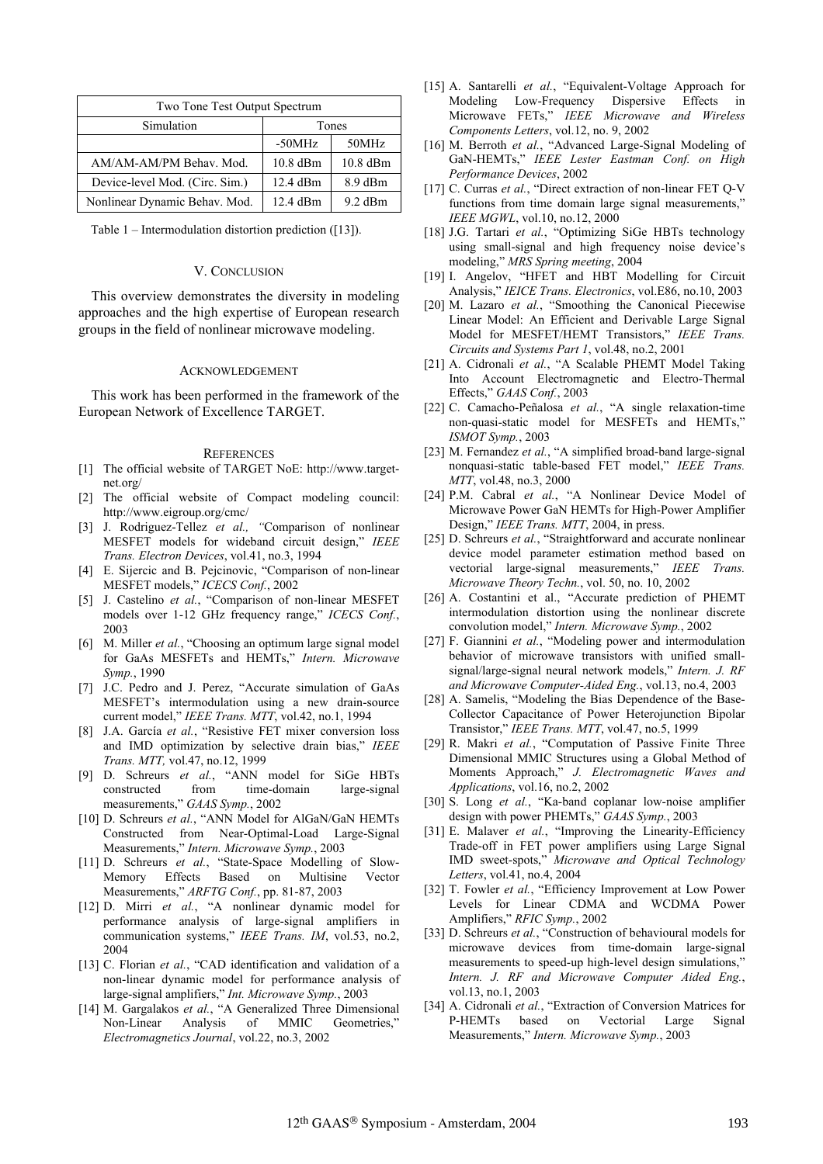| Two Tone Test Output Spectrum  |          |           |
|--------------------------------|----------|-----------|
| Simulation                     | Tones    |           |
|                                | $-50MHz$ | 50MHz     |
| AM/AM-AM/PM Behav. Mod.        | 10.8 dBm | 10.8 dBm  |
| Device-level Mod. (Circ. Sim.) | 12.4 dBm | 8.9 dBm   |
| Nonlinear Dynamic Behav. Mod.  | 12.4 dBm | $9.2$ dBm |

Table 1 – Intermodulation distortion prediction ([13]).

## V. CONCLUSION

This overview demonstrates the diversity in modeling approaches and the high expertise of European research groups in the field of nonlinear microwave modeling.

## ACKNOWLEDGEMENT

This work has been performed in the framework of the European Network of Excellence TARGET.

#### **REFERENCES**

- [1] The official website of TARGET NoE: http://www.targetnet.org/
- [2] The official website of Compact modeling council: http://www.eigroup.org/cmc/
- [3] J. Rodriguez-Tellez *et al., "*Comparison of nonlinear MESFET models for wideband circuit design," *IEEE Trans. Electron Devices*, vol.41, no.3, 1994
- [4] E. Sijercic and B. Pejcinovic, "Comparison of non-linear MESFET models," *ICECS Conf.*, 2002
- [5] J. Castelino *et al.*, "Comparison of non-linear MESFET models over 1-12 GHz frequency range," *ICECS Conf.*, 2003
- [6] M. Miller *et al.*, "Choosing an optimum large signal model for GaAs MESFETs and HEMTs," *Intern. Microwave Symp.*, 1990
- [7] J.C. Pedro and J. Perez, "Accurate simulation of GaAs MESFET's intermodulation using a new drain-source current model," *IEEE Trans. MTT*, vol.42, no.1, 1994
- [8] J.A. García *et al.*, "Resistive FET mixer conversion loss and IMD optimization by selective drain bias," *IEEE Trans. MTT,* vol.47, no.12, 1999
- [9] D. Schreurs *et al.*, "ANN model for SiGe HBTs constructed from time-domain large-signal measurements," *GAAS Symp.*, 2002
- [10] D. Schreurs *et al.*, "ANN Model for AlGaN/GaN HEMTs Constructed from Near-Optimal-Load Large-Signal Measurements," *Intern. Microwave Symp.*, 2003
- [11] D. Schreurs *et al.*, "State-Space Modelling of Slow-Memory Effects Based on Multisine Vector Measurements," *ARFTG Conf.*, pp. 81-87, 2003
- [12] D. Mirri *et al.*, "A nonlinear dynamic model for performance analysis of large-signal amplifiers in communication systems," *IEEE Trans. IM*, vol.53, no.2, 2004
- [13] C. Florian *et al.*, "CAD identification and validation of a non-linear dynamic model for performance analysis of large-signal amplifiers," *Int. Microwave Symp.*, 2003
- [14] M. Gargalakos *et al.*, "A Generalized Three Dimensional Non-Linear Analysis of MMIC Geometries," *Electromagnetics Journal*, vol.22, no.3, 2002
- [15] A. Santarelli *et al.*, "Equivalent-Voltage Approach for Modeling Low-Frequency Dispersive Effects in Microwave FETs," *IEEE Microwave and Wireless Components Letters*, vol.12, no. 9, 2002
- [16] M. Berroth *et al.*, "Advanced Large-Signal Modeling of GaN-HEMTs," *IEEE Lester Eastman Conf. on High Performance Devices*, 2002
- [17] C. Curras *et al.*, "Direct extraction of non-linear FET Q-V functions from time domain large signal measurements," *IEEE MGWL*, vol.10, no.12, 2000
- [18] J.G. Tartari *et al.*, "Optimizing SiGe HBTs technology using small-signal and high frequency noise device's modeling," *MRS Spring meeting*, 2004
- [19] I. Angelov, "HFET and HBT Modelling for Circuit Analysis," *IEICE Trans. Electronics*, vol.E86, no.10, 2003
- [20] M. Lazaro *et al.*, "Smoothing the Canonical Piecewise Linear Model: An Efficient and Derivable Large Signal Model for MESFET/HEMT Transistors," *IEEE Trans. Circuits and Systems Part 1*, vol.48, no.2, 2001
- [21] A. Cidronali *et al.*, "A Scalable PHEMT Model Taking Into Account Electromagnetic and Electro-Thermal Effects," *GAAS Conf.*, 2003
- [22] C. Camacho-Peñalosa *et al.*, "A single relaxation-time non-quasi-static model for MESFETs and HEMTs," *ISMOT Symp.*, 2003
- [23] M. Fernandez *et al.*, "A simplified broad-band large-signal nonquasi-static table-based FET model," *IEEE Trans. MTT*, vol.48, no.3, 2000
- [24] P.M. Cabral *et al.*, "A Nonlinear Device Model of Microwave Power GaN HEMTs for High-Power Amplifier Design," *IEEE Trans. MTT*, 2004, in press.
- [25] D. Schreurs *et al.*, "Straightforward and accurate nonlinear device model parameter estimation method based on vectorial large-signal measurements," *IEEE Trans. Microwave Theory Techn.*, vol. 50, no. 10, 2002
- [26] A. Costantini et al., "Accurate prediction of PHEMT intermodulation distortion using the nonlinear discrete convolution model," *Intern. Microwave Symp.*, 2002
- [27] F. Giannini *et al.*, "Modeling power and intermodulation behavior of microwave transistors with unified smallsignal/large-signal neural network models," *Intern. J. RF and Microwave Computer-Aided Eng.*, vol.13, no.4, 2003
- [28] A. Samelis, "Modeling the Bias Dependence of the Base-Collector Capacitance of Power Heterojunction Bipolar Transistor," *IEEE Trans. MTT*, vol.47, no.5, 1999
- [29] R. Makri *et al.*, "Computation of Passive Finite Three Dimensional MMIC Structures using a Global Method of Moments Approach," *J. Electromagnetic Waves and Applications*, vol.16, no.2, 2002
- [30] S. Long *et al.*, "Ka-band coplanar low-noise amplifier design with power PHEMTs," *GAAS Symp.*, 2003
- [31] E. Malaver *et al.*, "Improving the Linearity-Efficiency Trade-off in FET power amplifiers using Large Signal IMD sweet-spots," *Microwave and Optical Technology Letters*, vol.41, no.4, 2004
- [32] T. Fowler *et al.*, "Efficiency Improvement at Low Power Levels for Linear CDMA and WCDMA Power Amplifiers," *RFIC Symp.*, 2002
- [33] D. Schreurs *et al.*, "Construction of behavioural models for microwave devices from time-domain large-signal measurements to speed-up high-level design simulations," *Intern. J. RF and Microwave Computer Aided Eng.*, vol.13, no.1, 2003
- [34] A. Cidronali *et al.*, "Extraction of Conversion Matrices for P-HEMTs based on Vectorial Large Signal Measurements," *Intern. Microwave Symp.*, 2003